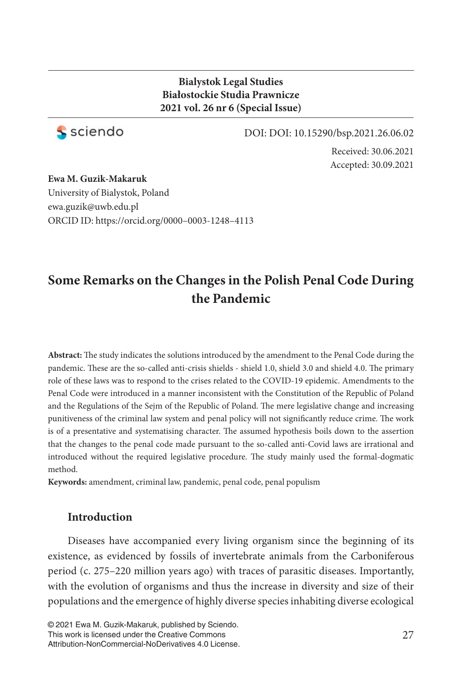#### **Bialystok Legal Studies Białostockie Studia Prawnicze 2021 vol. 26 nr 6 (Special Issue)**



DOI: DOI: 10.15290/bsp.2021.26.06.02

Received: 30.06.2021 Accepted: 30.09.2021

**Ewa M. Guzik-Makaruk** University of Bialystok, Poland ewa.guzik@uwb.edu.pl ORCID ID: https://orcid.org/0000–0003-1248–4113

# **Some Remarks on the Changes in the Polish Penal Code During the Pandemic**

Abstract: The study indicates the solutions introduced by the amendment to the Penal Code during the pandemic. These are the so-called anti-crisis shields - shield 1.0, shield 3.0 and shield 4.0. The primary role of these laws was to respond to the crises related to the COVID-19 epidemic. Amendments to the Penal Code were introduced in a manner inconsistent with the Constitution of the Republic of Poland and the Regulations of the Sejm of the Republic of Poland. The mere legislative change and increasing punitiveness of the criminal law system and penal policy will not significantly reduce crime. The work is of a presentative and systematising character. The assumed hypothesis boils down to the assertion that the changes to the penal code made pursuant to the so-called anti-Covid laws are irrational and introduced without the required legislative procedure. The study mainly used the formal-dogmatic method.

**Keywords:** amendment, criminal law, pandemic, penal code, penal populism

### **Introduction**

Diseases have accompanied every living organism since the beginning of its existence, as evidenced by fossils of invertebrate animals from the Carboniferous period (c. 275–220 million years ago) with traces of parasitic diseases. Importantly, with the evolution of organisms and thus the increase in diversity and size of their populations and the emergence of highly diverse species inhabiting diverse ecological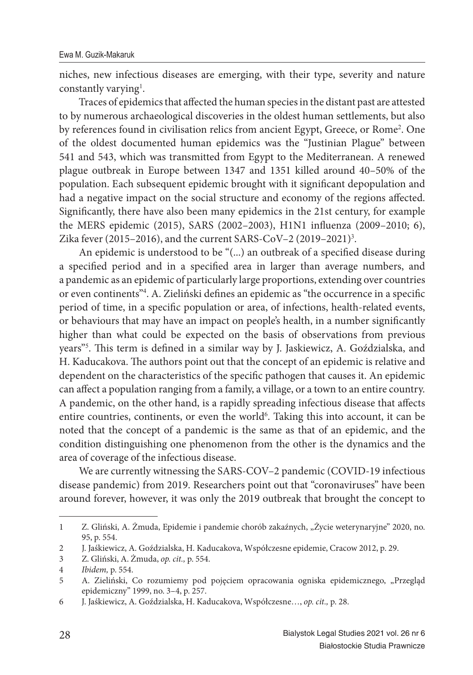niches, new infectious diseases are emerging, with their type, severity and nature constantly varying<sup>1</sup>.

Traces of epidemics that affected the human species in the distant past are attested to by numerous archaeological discoveries in the oldest human settlements, but also by references found in civilisation relics from ancient Egypt, Greece, or Rome<sup>2</sup> . One of the oldest documented human epidemics was the "Justinian Plague" between 541 and 543, which was transmitted from Egypt to the Mediterranean. A renewed plague outbreak in Europe between 1347 and 1351 killed around 40–50% of the population. Each subsequent epidemic brought with it significant depopulation and had a negative impact on the social structure and economy of the regions affected. Significantly, there have also been many epidemics in the 21st century, for example the MERS epidemic (2015), SARS (2002–2003), H1N1 influenza (2009–2010; 6), Zika fever (2015–2016), and the current SARS-CoV–2 (2019–2021)<sup>3</sup>.

An epidemic is understood to be "(...) an outbreak of a specified disease during a specified period and in a specified area in larger than average numbers, and a pandemic as an epidemic of particularly large proportions, extending over countries or even continents"<sup>4</sup>. A. Zieliński defines an epidemic as "the occurrence in a specific period of time, in a specific population or area, of infections, health-related events, or behaviours that may have an impact on people's health, in a number significantly higher than what could be expected on the basis of observations from previous years"<sup>5</sup>. This term is defined in a similar way by J. Jaskiewicz, A. Goździalska, and H. Kaducakova. The authors point out that the concept of an epidemic is relative and dependent on the characteristics of the specific pathogen that causes it. An epidemic can affect a population ranging from a family, a village, or a town to an entire country. A pandemic, on the other hand, is a rapidly spreading infectious disease that affects entire countries, continents, or even the world<sup>6</sup>. Taking this into account, it can be noted that the concept of a pandemic is the same as that of an epidemic, and the condition distinguishing one phenomenon from the other is the dynamics and the area of coverage of the infectious disease.

We are currently witnessing the SARS-COV–2 pandemic (COVID-19 infectious disease pandemic) from 2019. Researchers point out that "coronaviruses" have been around forever, however, it was only the 2019 outbreak that brought the concept to

<sup>1</sup> Z. Gliński, A. Żmuda, Epidemie i pandemie chorób zakaźnych, "Życie weterynaryjne" 2020, no. 95, p. 554.

<sup>2</sup> J. Jaśkiewicz, A. Goździalska, H. Kaducakova, Współczesne epidemie, Cracow 2012, p. 29.

<sup>3</sup> Z. Gliński, A. Żmuda, *op. cit.,* p. 554.

<sup>4</sup> *Ibidem,* p. 554.

<sup>5</sup> A. Zieliński, Co rozumiemy pod pojęciem opracowania ogniska epidemicznego, "Przegląd epidemiczny" 1999, no. 3–4, p. 257.

<sup>6</sup> J. Jaśkiewicz, A. Goździalska, H. Kaducakova, Współczesne…, *op. cit.,* p. 28.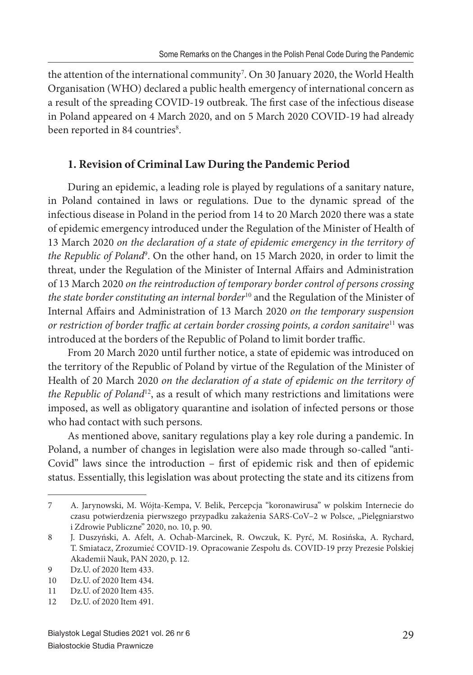the attention of the international community<sup>7</sup> . On 30 January 2020, the World Health Organisation (WHO) declared a public health emergency of international concern as a result of the spreading COVID-19 outbreak. The first case of the infectious disease in Poland appeared on 4 March 2020, and on 5 March 2020 COVID-19 had already been reported in 84 countries<sup>8</sup>.

#### **1. Revision of Criminal Law During the Pandemic Period**

During an epidemic, a leading role is played by regulations of a sanitary nature, in Poland contained in laws or regulations. Due to the dynamic spread of the infectious disease in Poland in the period from 14 to 20 March 2020 there was a state of epidemic emergency introduced under the Regulation of the Minister of Health of 13 March 2020 *on the declaration of a state of epidemic emergency in the territory of*  the Republic of Poland<sup>9</sup>. On the other hand, on 15 March 2020, in order to limit the threat, under the Regulation of the Minister of Internal Affairs and Administration of 13 March 2020 *on the reintroduction of temporary border control of persons crossing the state border constituting an internal border*<sup>10</sup> and the Regulation of the Minister of Internal Aff airs and Administration of 13 March 2020 *on the temporary suspension or restriction of border traffic at certain border crossing points, a cordon sanitaire*<sup>11</sup> was introduced at the borders of the Republic of Poland to limit border traffic.

From 20 March 2020 until further notice, a state of epidemic was introduced on the territory of the Republic of Poland by virtue of the Regulation of the Minister of Health of 20 March 2020 *on the declaration of a state of epidemic on the territory of the Republic of Poland*<sup>12</sup>, as a result of which many restrictions and limitations were imposed, as well as obligatory quarantine and isolation of infected persons or those who had contact with such persons.

As mentioned above, sanitary regulations play a key role during a pandemic. In Poland, a number of changes in legislation were also made through so-called "anti-Covid" laws since the introduction - first of epidemic risk and then of epidemic status. Essentially, this legislation was about protecting the state and its citizens from

<sup>7</sup> A. Jarynowski, M. Wójta-Kempa, V. Belik, Percepcja "koronawirusa" w polskim Internecie do czasu potwierdzenia pierwszego przypadku zakażenia SARS-CoV-2 w Polsce, "Pielęgniarstwo i Zdrowie Publiczne" 2020, no. 10, p. 90.

<sup>8</sup> J. Duszyński, A. Afelt, A. Ochab-Marcinek, R. Owczuk, K. Pyrć, M. Rosińska, A. Rychard, T. Smiatacz, Zrozumieć COVID-19. Opracowanie Zespołu ds. COVID-19 przy Prezesie Polskiej Akademii Nauk, PAN 2020, p. 12.

<sup>9</sup> Dz.U. of 2020 Item 433.

<sup>10</sup> Dz.U. of 2020 Item 434.

<sup>11</sup> Dz.U. of 2020 Item 435.

<sup>12</sup> Dz.U. of 2020 Item 491.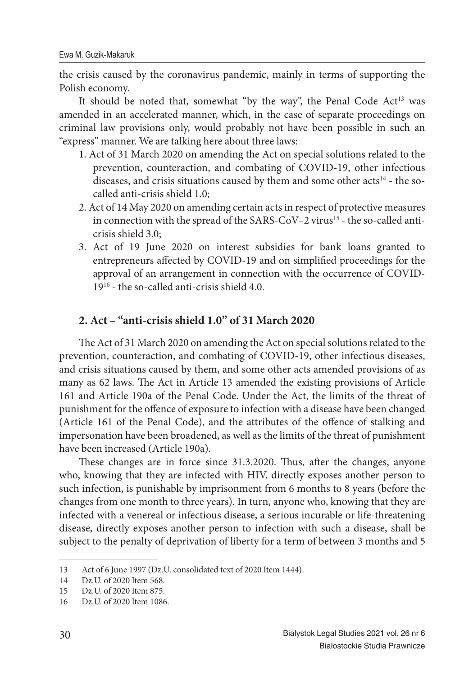the crisis caused by the coronavirus pandemic, mainly in terms of supporting the Polish economy.

It should be noted that, somewhat "by the way", the Penal Code  $Act<sup>13</sup>$  was amended in an accelerated manner, which, in the case of separate proceedings on criminal law provisions only, would probably not have been possible in such an "express" manner. We are talking here about three laws:

- 1. Act of 31 March 2020 on amending the Act on special solutions related to the prevention, counteraction, and combating of COVID-19, other infectious diseases, and crisis situations caused by them and some other acts<sup>14</sup> - the socalled anti-crisis shield 1.0;
- 2. Act of 14 May 2020 on amending certain acts in respect of protective measures in connection with the spread of the SARS-CoV–2 virus<sup>15</sup> - the so-called anticrisis shield 3.0;
- 3. Act of 19 June 2020 on interest subsidies for bank loans granted to entrepreneurs affected by COVID-19 and on simplified proceedings for the approval of an arrangement in connection with the occurrence of COVID-19<sup>16</sup> - the so-called anti-crisis shield 4.0.

## **2. Act – "anti-crisis shield 1.0" of 31 March 2020**

The Act of 31 March 2020 on amending the Act on special solutions related to the prevention, counteraction, and combating of COVID-19, other infectious diseases, and crisis situations caused by them, and some other acts amended provisions of as many as 62 laws. The Act in Article 13 amended the existing provisions of Article 161 and Article 190a of the Penal Code. Under the Act, the limits of the threat of punishment for the offence of exposure to infection with a disease have been changed (Article 161 of the Penal Code), and the attributes of the offence of stalking and impersonation have been broadened, as well as the limits of the threat of punishment have been increased (Article 190a).

These changes are in force since 31.3.2020. Thus, after the changes, anyone who, knowing that they are infected with HIV, directly exposes another person to such infection, is punishable by imprisonment from 6 months to 8 years (before the changes from one month to three years). In turn, anyone who, knowing that they are infected with a venereal or infectious disease, a serious incurable or life-threatening disease, directly exposes another person to infection with such a disease, shall be subject to the penalty of deprivation of liberty for a term of between 3 months and 5

<sup>13</sup> Act of 6 June 1997 (Dz.U. consolidated text of 2020 Item 1444).

<sup>14</sup> Dz.U. of 2020 Item 568.

<sup>15</sup> Dz.U. of 2020 Item 875.

<sup>16</sup> Dz.U. of 2020 Item 1086.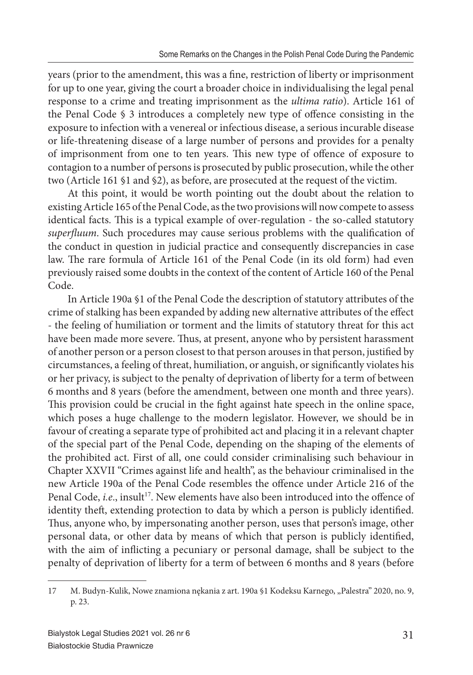years (prior to the amendment, this was a fine, restriction of liberty or imprisonment for up to one year, giving the court a broader choice in individualising the legal penal response to a crime and treating imprisonment as the *ultima ratio*). Article 161 of the Penal Code  $\S$  3 introduces a completely new type of offence consisting in the exposure to infection with a venereal or infectious disease, a serious incurable disease or life-threatening disease of a large number of persons and provides for a penalty of imprisonment from one to ten years. This new type of offence of exposure to contagion to a number of persons is prosecuted by public prosecution, while the other two (Article 161 §1 and §2), as before, are prosecuted at the request of the victim.

At this point, it would be worth pointing out the doubt about the relation to existing Article 165 of the Penal Code, as the two provisions will now compete to assess identical facts. This is a typical example of over-regulation - the so-called statutory superfluum. Such procedures may cause serious problems with the qualification of the conduct in question in judicial practice and consequently discrepancies in case law. The rare formula of Article 161 of the Penal Code (in its old form) had even previously raised some doubts in the context of the content of Article 160 of the Penal Code.

In Article 190a §1 of the Penal Code the description of statutory attributes of the crime of stalking has been expanded by adding new alternative attributes of the effect - the feeling of humiliation or torment and the limits of statutory threat for this act have been made more severe. Thus, at present, anyone who by persistent harassment of another person or a person closest to that person arouses in that person, justified by circumstances, a feeling of threat, humiliation, or anguish, or significantly violates his or her privacy, is subject to the penalty of deprivation of liberty for a term of between 6 months and 8 years (before the amendment, between one month and three years). This provision could be crucial in the fight against hate speech in the online space, which poses a huge challenge to the modern legislator. However, we should be in favour of creating a separate type of prohibited act and placing it in a relevant chapter of the special part of the Penal Code, depending on the shaping of the elements of the prohibited act. First of all, one could consider criminalising such behaviour in Chapter XXVII "Crimes against life and health", as the behaviour criminalised in the new Article 190a of the Penal Code resembles the offence under Article 216 of the Penal Code, *i.e.*, insult<sup>17</sup>. New elements have also been introduced into the offence of identity theft, extending protection to data by which a person is publicly identified. Thus, anyone who, by impersonating another person, uses that person's image, other personal data, or other data by means of which that person is publicly identified, with the aim of inflicting a pecuniary or personal damage, shall be subject to the penalty of deprivation of liberty for a term of between 6 months and 8 years (before

<sup>17</sup> M. Budyn-Kulik, Nowe znamiona nękania z art. 190a §1 Kodeksu Karnego, "Palestra" 2020, no. 9, p. 23.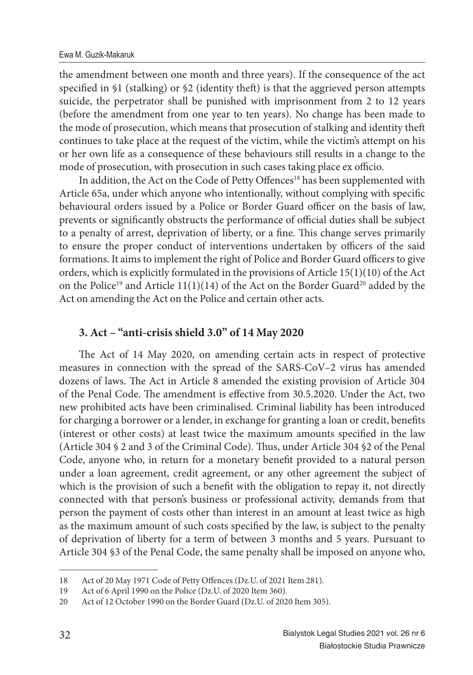the amendment between one month and three years). If the consequence of the act specified in  $$1$  (stalking) or  $$2$  (identity theft) is that the aggrieved person attempts suicide, the perpetrator shall be punished with imprisonment from 2 to 12 years (before the amendment from one year to ten years). No change has been made to the mode of prosecution, which means that prosecution of stalking and identity theft continues to take place at the request of the victim, while the victim's attempt on his or her own life as a consequence of these behaviours still results in a change to the mode of prosecution, with prosecution in such cases taking place ex officio.

In addition, the Act on the Code of Petty Offences<sup>18</sup> has been supplemented with Article 65a, under which anyone who intentionally, without complying with specific behavioural orders issued by a Police or Border Guard officer on the basis of law, prevents or significantly obstructs the performance of official duties shall be subject to a penalty of arrest, deprivation of liberty, or a fine. This change serves primarily to ensure the proper conduct of interventions undertaken by officers of the said formations. It aims to implement the right of Police and Border Guard officers to give orders, which is explicitly formulated in the provisions of Article 15(1)(10) of the Act on the Police<sup>19</sup> and Article 11(1)(14) of the Act on the Border Guard<sup>20</sup> added by the Act on amending the Act on the Police and certain other acts.

#### **3. Act – "anti-crisis shield 3.0" of 14 May 2020**

The Act of 14 May 2020, on amending certain acts in respect of protective measures in connection with the spread of the SARS-CoV–2 virus has amended dozens of laws. The Act in Article 8 amended the existing provision of Article 304 of the Penal Code. The amendment is effective from 30.5.2020. Under the Act, two new prohibited acts have been criminalised. Criminal liability has been introduced for charging a borrower or a lender, in exchange for granting a loan or credit, benefits (interest or other costs) at least twice the maximum amounts specified in the law (Article 304 § 2 and 3 of the Criminal Code). Thus, under Article 304 §2 of the Penal Code, anyone who, in return for a monetary benefit provided to a natural person under a loan agreement, credit agreement, or any other agreement the subject of which is the provision of such a benefit with the obligation to repay it, not directly connected with that person's business or professional activity, demands from that person the payment of costs other than interest in an amount at least twice as high as the maximum amount of such costs specified by the law, is subject to the penalty of deprivation of liberty for a term of between 3 months and 5 years. Pursuant to Article 304 §3 of the Penal Code, the same penalty shall be imposed on anyone who,

<sup>18</sup> Act of 20 May 1971 Code of Petty Offences (Dz.U. of 2021 Item 281).

<sup>19</sup> Act of 6 April 1990 on the Police (Dz.U. of 2020 Item 360).

<sup>20</sup> Act of 12 October 1990 on the Border Guard (Dz.U. of 2020 Item 305).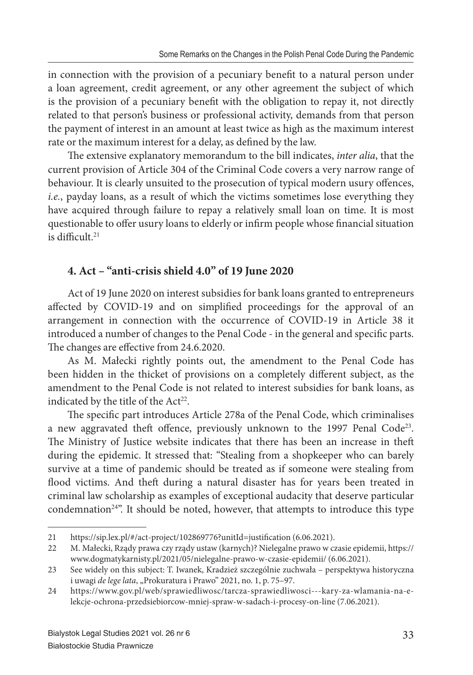in connection with the provision of a pecuniary benefit to a natural person under a loan agreement, credit agreement, or any other agreement the subject of which is the provision of a pecuniary benefit with the obligation to repay it, not directly related to that person's business or professional activity, demands from that person the payment of interest in an amount at least twice as high as the maximum interest rate or the maximum interest for a delay, as defined by the law.

The extensive explanatory memorandum to the bill indicates, *inter alia*, that the current provision of Article 304 of the Criminal Code covers a very narrow range of behaviour. It is clearly unsuited to the prosecution of typical modern usury offences, *i.e.*, payday loans, as a result of which the victims sometimes lose everything they have acquired through failure to repay a relatively small loan on time. It is most questionable to offer usury loans to elderly or infirm people whose financial situation is difficult  $21$ 

## **4. Act – "anti-crisis shield 4.0" of 19 June 2020**

Act of 19 June 2020 on interest subsidies for bank loans granted to entrepreneurs affected by COVID-19 and on simplified proceedings for the approval of an arrangement in connection with the occurrence of COVID-19 in Article 38 it introduced a number of changes to the Penal Code - in the general and specific parts. The changes are effective from 24.6.2020.

As M. Małecki rightly points out, the amendment to the Penal Code has been hidden in the thicket of provisions on a completely different subject, as the amendment to the Penal Code is not related to interest subsidies for bank loans, as indicated by the title of the Act<sup>22</sup>.

The specific part introduces Article 278a of the Penal Code, which criminalises a new aggravated theft offence, previously unknown to the 1997 Penal Code<sup>23</sup>. The Ministry of Justice website indicates that there has been an increase in theft during the epidemic. It stressed that: "Stealing from a shopkeeper who can barely survive at a time of pandemic should be treated as if someone were stealing from flood victims. And theft during a natural disaster has for years been treated in criminal law scholarship as examples of exceptional audacity that deserve particular condemnation<sup>24"</sup>. It should be noted, however, that attempts to introduce this type

<sup>21</sup> https://sip.lex.pl/#/act-project/102869776?unitId=justification (6.06.2021).

<sup>22</sup> M. Małecki, Rządy prawa czy rządy ustaw (karnych)? Nielegalne prawo w czasie epidemii, https:// www.dogmatykarnisty.pl/2021/05/nielegalne-prawo-w-czasie-epidemii/ (6.06.2021).

<sup>23</sup> See widely on this subject: T. Iwanek, Kradzież szczególnie zuchwała – perspektywa historyczna i uwagi *de lege lata*, "Prokuratura i Prawo" 2021, no. 1, p. 75-97.

<sup>24</sup> https://www.gov.pl/web/sprawiedliwosc/tarcza-sprawiedliwosci---kary-za-wlamania-na-elekcje-ochrona-przedsiebiorcow-mniej-spraw-w-sadach-i-procesy-on-line (7.06.2021).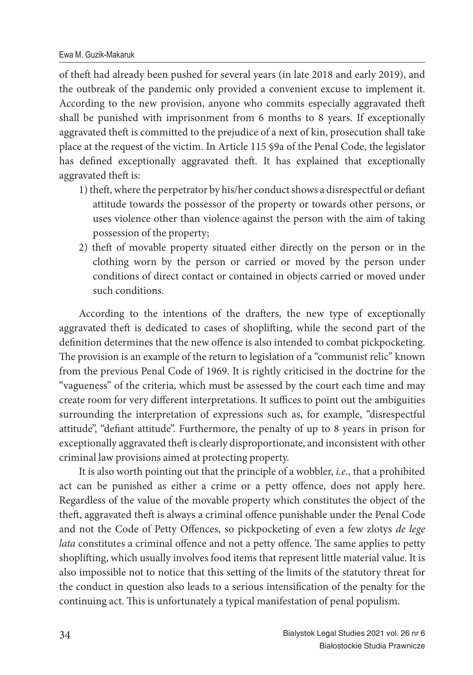of theft had already been pushed for several years (in late 2018 and early 2019), and the outbreak of the pandemic only provided a convenient excuse to implement it. According to the new provision, anyone who commits especially aggravated theft shall be punished with imprisonment from 6 months to 8 years. If exceptionally aggravated theft is committed to the prejudice of a next of kin, prosecution shall take place at the request of the victim. In Article 115 §9a of the Penal Code, the legislator has defined exceptionally aggravated theft. It has explained that exceptionally aggravated theft is:

- 1) theft, where the perpetrator by his/her conduct shows a disrespectful or defiant attitude towards the possessor of the property or towards other persons, or uses violence other than violence against the person with the aim of taking possession of the property;
- 2) theft of movable property situated either directly on the person or in the clothing worn by the person or carried or moved by the person under conditions of direct contact or contained in objects carried or moved under such conditions.

According to the intentions of the drafters, the new type of exceptionally aggravated theft is dedicated to cases of shoplifting, while the second part of the definition determines that the new offence is also intended to combat pickpocketing. The provision is an example of the return to legislation of a "communist relic" known from the previous Penal Code of 1969. It is rightly criticised in the doctrine for the "vagueness" of the criteria, which must be assessed by the court each time and may create room for very different interpretations. It suffices to point out the ambiguities surrounding the interpretation of expressions such as, for example, "disrespectful attitude", "defiant attitude". Furthermore, the penalty of up to 8 years in prison for exceptionally aggravated theft is clearly disproportionate, and inconsistent with other criminal law provisions aimed at protecting property.

It is also worth pointing out that the principle of a wobbler, *i.e*., that a prohibited act can be punished as either a crime or a petty offence, does not apply here. Regardless of the value of the movable property which constitutes the object of the theft, aggravated theft is always a criminal offence punishable under the Penal Code and not the Code of Petty Offences, so pickpocketing of even a few zlotys *de lege lata* constitutes a criminal offence and not a petty offence. The same applies to petty shoplifting, which usually involves food items that represent little material value. It is also impossible not to notice that this setting of the limits of the statutory threat for the conduct in question also leads to a serious intensification of the penalty for the continuing act. This is unfortunately a typical manifestation of penal populism.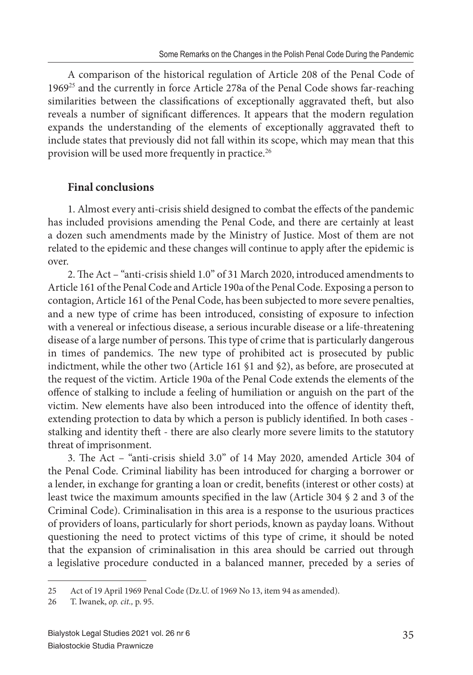A comparison of the historical regulation of Article 208 of the Penal Code of 1969<sup>25</sup> and the currently in force Article 278a of the Penal Code shows far-reaching similarities between the classifications of exceptionally aggravated theft, but also reveals a number of significant differences. It appears that the modern regulation expands the understanding of the elements of exceptionally aggravated theft to include states that previously did not fall within its scope, which may mean that this provision will be used more frequently in practice.<sup>26</sup>

### **Final conclusions**

1. Almost every anti-crisis shield designed to combat the effects of the pandemic has included provisions amending the Penal Code, and there are certainly at least a dozen such amendments made by the Ministry of Justice. Most of them are not related to the epidemic and these changes will continue to apply after the epidemic is over.

2. The Act – "anti-crisis shield 1.0" of 31 March 2020, introduced amendments to Article 161 of the Penal Code and Article 190a of the Penal Code. Exposing a person to contagion, Article 161 of the Penal Code, has been subjected to more severe penalties, and a new type of crime has been introduced, consisting of exposure to infection with a venereal or infectious disease, a serious incurable disease or a life-threatening disease of a large number of persons. This type of crime that is particularly dangerous in times of pandemics. The new type of prohibited act is prosecuted by public indictment, while the other two (Article 161 §1 and §2), as before, are prosecuted at the request of the victim. Article 190a of the Penal Code extends the elements of the offence of stalking to include a feeling of humiliation or anguish on the part of the victim. New elements have also been introduced into the offence of identity theft, extending protection to data by which a person is publicly identified. In both cases stalking and identity theft - there are also clearly more severe limits to the statutory threat of imprisonment.

3. The Act - "anti-crisis shield 3.0" of 14 May 2020, amended Article 304 of the Penal Code. Criminal liability has been introduced for charging a borrower or a lender, in exchange for granting a loan or credit, benefits (interest or other costs) at least twice the maximum amounts specified in the law (Article 304 § 2 and 3 of the Criminal Code). Criminalisation in this area is a response to the usurious practices of providers of loans, particularly for short periods, known as payday loans. Without questioning the need to protect victims of this type of crime, it should be noted that the expansion of criminalisation in this area should be carried out through a legislative procedure conducted in a balanced manner, preceded by a series of

<sup>25</sup> Act of 19 April 1969 Penal Code (Dz.U. of 1969 No 13, item 94 as amended).

<sup>26</sup> T. Iwanek, *op. cit.,* p. 95.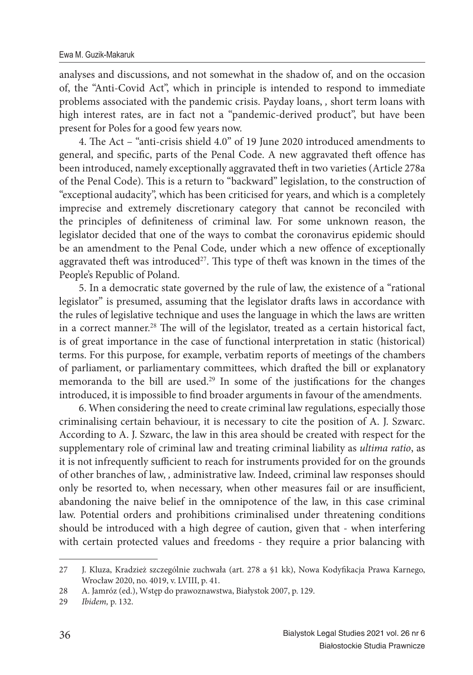analyses and discussions, and not somewhat in the shadow of, and on the occasion of, the "Anti-Covid Act", which in principle is intended to respond to immediate problems associated with the pandemic crisis. Payday loans, *,* short term loans with high interest rates, are in fact not a "pandemic-derived product", but have been present for Poles for a good few years now.

4. The Act – "anti-crisis shield  $4.0$ " of 19 June 2020 introduced amendments to general, and specific, parts of the Penal Code. A new aggravated theft offence has been introduced, namely exceptionally aggravated theft in two varieties (Article 278a of the Penal Code). This is a return to "backward" legislation, to the construction of "exceptional audacity", which has been criticised for years, and which is a completely imprecise and extremely discretionary category that cannot be reconciled with the principles of definiteness of criminal law. For some unknown reason, the legislator decided that one of the ways to combat the coronavirus epidemic should be an amendment to the Penal Code, under which a new offence of exceptionally aggravated theft was introduced<sup>27</sup>. This type of theft was known in the times of the People's Republic of Poland.

5. In a democratic state governed by the rule of law, the existence of a "rational legislator" is presumed, assuming that the legislator drafts laws in accordance with the rules of legislative technique and uses the language in which the laws are written in a correct manner.<sup>28</sup> The will of the legislator, treated as a certain historical fact, is of great importance in the case of functional interpretation in static (historical) terms. For this purpose, for example, verbatim reports of meetings of the chambers of parliament, or parliamentary committees, which drafted the bill or explanatory memoranda to the bill are used.<sup>29</sup> In some of the justifications for the changes introduced, it is impossible to find broader arguments in favour of the amendments.

6. When considering the need to create criminal law regulations, especially those criminalising certain behaviour, it is necessary to cite the position of A. J. Szwarc. According to A. J. Szwarc, the law in this area should be created with respect for the supplementary role of criminal law and treating criminal liability as *ultima ratio*, as it is not infrequently sufficient to reach for instruments provided for on the grounds of other branches of law, *,* administrative law. Indeed, criminal law responses should only be resorted to, when necessary, when other measures fail or are insufficient, abandoning the naive belief in the omnipotence of the law, in this case criminal law. Potential orders and prohibitions criminalised under threatening conditions should be introduced with a high degree of caution, given that - when interfering with certain protected values and freedoms - they require a prior balancing with

<sup>27</sup> J. Kluza, Kradzież szczególnie zuchwała (art. 278 a §1 kk), Nowa Kodyfikacja Prawa Karnego, Wrocław 2020, no. 4019, v. LVIII, p. 41.

<sup>28</sup> A. Jamróz (ed.), Wstęp do prawoznawstwa, Białystok 2007, p. 129.

<sup>29</sup> *Ibidem,* p. 132.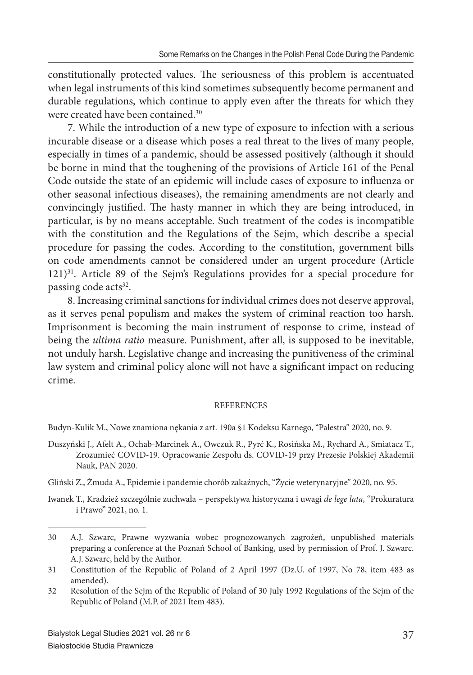constitutionally protected values. The seriousness of this problem is accentuated when legal instruments of this kind sometimes subsequently become permanent and durable regulations, which continue to apply even after the threats for which they were created have been contained.<sup>30</sup>

7. While the introduction of a new type of exposure to infection with a serious incurable disease or a disease which poses a real threat to the lives of many people, especially in times of a pandemic, should be assessed positively (although it should be borne in mind that the toughening of the provisions of Article 161 of the Penal Code outside the state of an epidemic will include cases of exposure to influenza or other seasonal infectious diseases), the remaining amendments are not clearly and convincingly justified. The hasty manner in which they are being introduced, in particular, is by no means acceptable. Such treatment of the codes is incompatible with the constitution and the Regulations of the Sejm, which describe a special procedure for passing the codes. According to the constitution, government bills on code amendments cannot be considered under an urgent procedure (Article 121)<sup>31</sup>. Article 89 of the Sejm's Regulations provides for a special procedure for passing code acts<sup>32</sup>.

8. Increasing criminal sanctions for individual crimes does not deserve approval, as it serves penal populism and makes the system of criminal reaction too harsh. Imprisonment is becoming the main instrument of response to crime, instead of being the *ultima ratio* measure. Punishment, after all, is supposed to be inevitable, not unduly harsh. Legislative change and increasing the punitiveness of the criminal law system and criminal policy alone will not have a significant impact on reducing crime.

#### **REFERENCES**

Budyn-Kulik M., Nowe znamiona nękania z art. 190a §1 Kodeksu Karnego, "Palestra" 2020, no. 9.

- Duszyński J., Afelt A., Ochab-Marcinek A., Owczuk R., Pyrć K., Rosińska M., Rychard A., Smiatacz T., Zrozumieć COVID-19. Opracowanie Zespołu ds. COVID-19 przy Prezesie Polskiej Akademii Nauk, PAN 2020.
- Gliński Z., Żmuda A., Epidemie i pandemie chorób zakaźnych, "Życie weterynaryjne" 2020, no. 95.
- Iwanek T., Kradzież szczególnie zuchwała perspektywa historyczna i uwagi *de lege lata*, "Prokuratura i Prawo" 2021, no. 1.

<sup>30</sup> A.J. Szwarc, Prawne wyzwania wobec prognozowanych zagrożeń, unpublished materials preparing a conference at the Poznań School of Banking, used by permission of Prof. J. Szwarc. A.J. Szwarc, held by the Author.

<sup>31</sup> Constitution of the Republic of Poland of 2 April 1997 (Dz.U. of 1997, No 78, item 483 as amended).

<sup>32</sup> Resolution of the Sejm of the Republic of Poland of 30 July 1992 Regulations of the Sejm of the Republic of Poland (M.P. of 2021 Item 483).